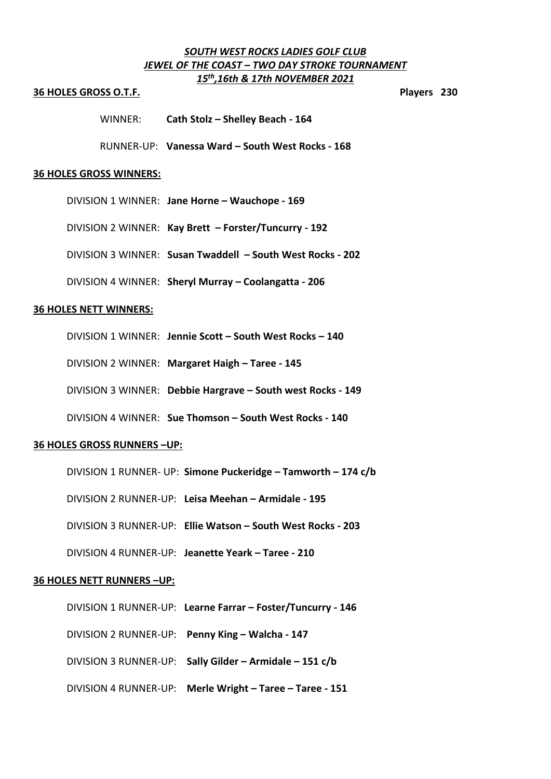# *SOUTH WEST ROCKS LADIES GOLF CLUB JEWEL OF THE COAST – TWO DAY STROKE TOURNAMENT 15th ,16th & 17th NOVEMBER 2021*

#### **36 HOLES GROSS O.T.F. Players 230**

WINNER: **Cath Stolz – Shelley Beach - 164**

RUNNER-UP: **Vanessa Ward – South West Rocks - 168**

#### **36 HOLES GROSS WINNERS:**

DIVISION 1 WINNER: **Jane Horne – Wauchope - 169**

DIVISION 2 WINNER: **Kay Brett – Forster/Tuncurry - 192**

DIVISION 3 WINNER: **Susan Twaddell – South West Rocks - 202**

DIVISION 4 WINNER: **Sheryl Murray – Coolangatta - 206**

# **36 HOLES NETT WINNERS:**

DIVISION 1 WINNER: **Jennie Scott – South West Rocks – 140**

DIVISION 2 WINNER: **Margaret Haigh – Taree - 145**

DIVISION 3 WINNER: **Debbie Hargrave – South west Rocks - 149**

DIVISION 4 WINNER: **Sue Thomson – South West Rocks - 140**

# **36 HOLES GROSS RUNNERS –UP:**

DIVISION 1 RUNNER- UP: **Simone Puckeridge – Tamworth – 174 c/b**

DIVISION 2 RUNNER-UP: **Leisa Meehan – Armidale - 195**

DIVISION 3 RUNNER-UP: **Ellie Watson – South West Rocks - 203**

DIVISION 4 RUNNER-UP: **Jeanette Yeark – Taree - 210**

#### **36 HOLES NETT RUNNERS –UP:**

DIVISION 1 RUNNER-UP: **Learne Farrar – Foster/Tuncurry - 146** DIVISION 2 RUNNER-UP: **Penny King – Walcha - 147** DIVISION 3 RUNNER-UP: **Sally Gilder – Armidale – 151 c/b** DIVISION 4 RUNNER-UP: **Merle Wright – Taree – Taree - 151**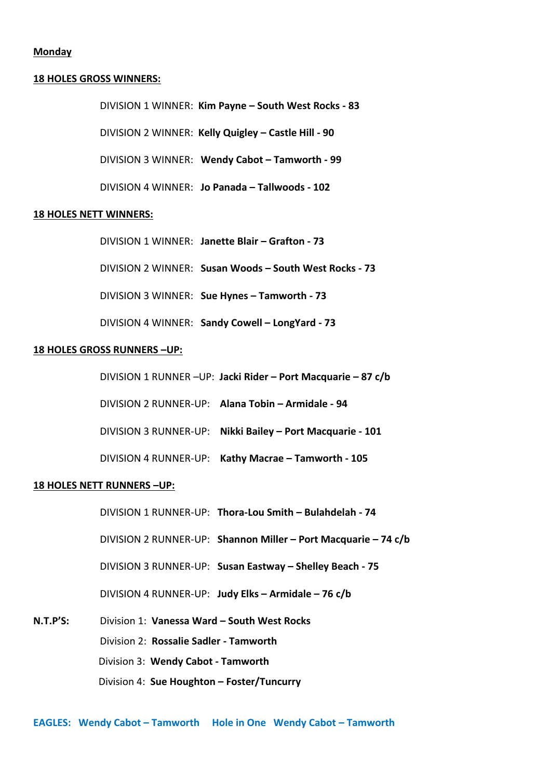# **Monday**

#### **18 HOLES GROSS WINNERS:**

DIVISION 1 WINNER: **Kim Payne – South West Rocks - 83**

DIVISION 2 WINNER: **Kelly Quigley – Castle Hill - 90**

DIVISION 3 WINNER: **Wendy Cabot – Tamworth - 99**

DIVISION 4 WINNER: **Jo Panada – Tallwoods - 102**

#### **18 HOLES NETT WINNERS:**

DIVISION 1 WINNER: **Janette Blair – Grafton - 73**

DIVISION 2 WINNER: **Susan Woods – South West Rocks - 73**

DIVISION 3 WINNER: **Sue Hynes – Tamworth - 73**

DIVISION 4 WINNER: **Sandy Cowell – LongYard - 73**

# **18 HOLES GROSS RUNNERS –UP:**

DIVISION 1 RUNNER –UP: **Jacki Rider – Port Macquarie – 87 c/b**

DIVISION 2 RUNNER-UP: **Alana Tobin – Armidale - 94**

DIVISION 3 RUNNER-UP: **Nikki Bailey – Port Macquarie - 101**

DIVISION 4 RUNNER-UP: **Kathy Macrae – Tamworth - 105**

#### **18 HOLES NETT RUNNERS –UP:**

DIVISION 1 RUNNER-UP: **Thora-Lou Smith – Bulahdelah - 74**

DIVISION 2 RUNNER-UP: **Shannon Miller – Port Macquarie – 74 c/b**

DIVISION 3 RUNNER-UP: **Susan Eastway – Shelley Beach - 75**

DIVISION 4 RUNNER-UP: **Judy Elks – Armidale – 76 c/b**

**N.T.P'S:** Division 1: **Vanessa Ward – South West Rocks** Division 2: **Rossalie Sadler - Tamworth** Division 3: **Wendy Cabot - Tamworth** Division 4: **Sue Houghton – Foster/Tuncurry**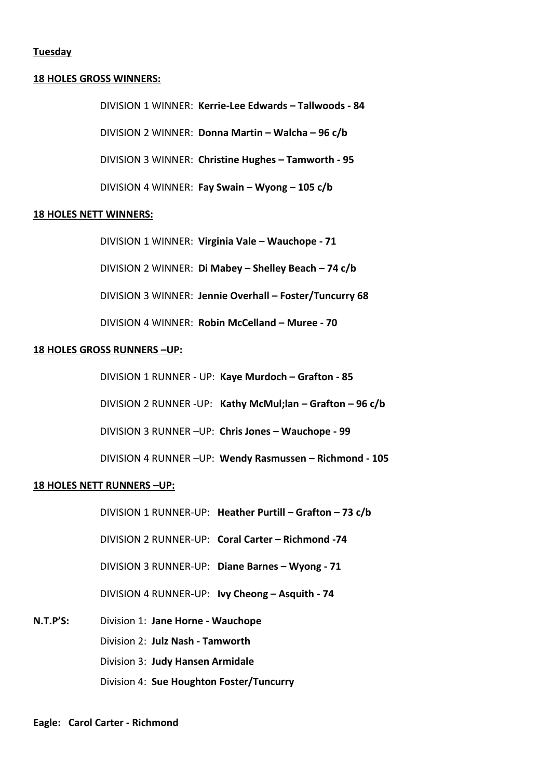# **Tuesday**

# **18 HOLES GROSS WINNERS:**

DIVISION 1 WINNER: **Kerrie-Lee Edwards – Tallwoods - 84** DIVISION 2 WINNER: **Donna Martin – Walcha – 96 c/b** DIVISION 3 WINNER: **Christine Hughes – Tamworth - 95** DIVISION 4 WINNER: **Fay Swain – Wyong – 105 c/b**

### **18 HOLES NETT WINNERS:**

DIVISION 1 WINNER: **Virginia Vale – Wauchope - 71** DIVISION 2 WINNER: **Di Mabey – Shelley Beach – 74 c/b** DIVISION 3 WINNER: **Jennie Overhall – Foster/Tuncurry 68** DIVISION 4 WINNER: **Robin McCelland – Muree - 70**

# **18 HOLES GROSS RUNNERS –UP:**

DIVISION 1 RUNNER - UP: **Kaye Murdoch – Grafton - 85**

DIVISION 2 RUNNER -UP: **Kathy McMul;lan – Grafton – 96 c/b**

DIVISION 3 RUNNER –UP: **Chris Jones – Wauchope - 99**

DIVISION 4 RUNNER –UP: **Wendy Rasmussen – Richmond - 105**

#### **18 HOLES NETT RUNNERS –UP:**

DIVISION 1 RUNNER-UP: **Heather Purtill – Grafton – 73 c/b**

DIVISION 2 RUNNER-UP: **Coral Carter – Richmond -74**

DIVISION 3 RUNNER-UP: **Diane Barnes – Wyong - 71**

DIVISION 4 RUNNER-UP: **Ivy Cheong – Asquith - 74**

**N.T.P'S:** Division 1: **Jane Horne - Wauchope** Division 2: **Julz Nash - Tamworth** Division 3: **Judy Hansen Armidale** Division 4: **Sue Houghton Foster/Tuncurry**